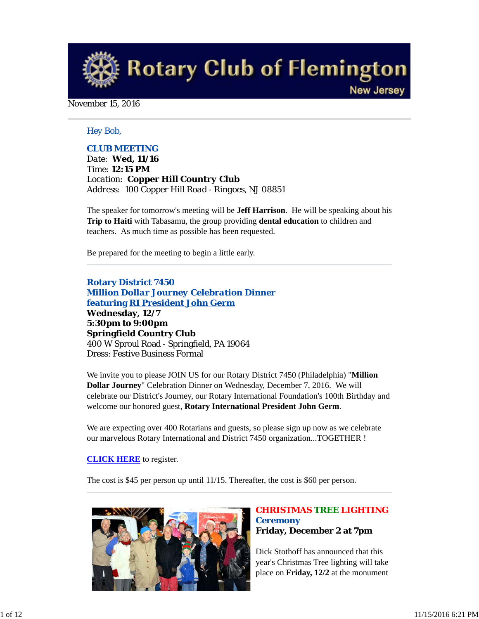**Rotary Club of Flemington New Jersey** 

#### November 15, 2016

#### *Hey Bob,*

#### *CLUB MEETING*

*Date: Wed, 11/16 Time: 12:15 PM Location: Copper Hill Country Club Address: 100 Copper Hill Road - Ringoes, NJ 08851*

The speaker for tomorrow's meeting will be **Jeff Harrison**. He will be speaking about his **Trip to Haiti** with Tabasamu, the group providing **dental education** to children and teachers. As much time as possible has been requested.

Be prepared for the meeting to begin a little early.

**Rotary District 7450** *Million Dollar Journey Celebration Dinner* **featuring RI President John Germ Wednesday, 12/7 5:30pm to 9:00pm Springfield Country Club** 400 W Sproul Road - Springfield, PA 19064 Dress: Festive Business Formal

We invite you to please JOIN US for our Rotary District 7450 (Philadelphia) "**Million Dollar Journey**" Celebration Dinner on Wednesday, December 7, 2016. We will celebrate our District's Journey, our Rotary International Foundation's 100th Birthday and welcome our honored guest, **Rotary International President John Germ**.

We are expecting over 400 Rotarians and guests, so please sign up now as we celebrate our marvelous Rotary International and District 7450 organization...TOGETHER !

**CLICK HERE** to register.

The cost is \$45 per person up until 11/15. Thereafter, the cost is \$60 per person.



### *CHRISTMAS TREE LIGHTING Ceremony* **Friday, December 2 at 7pm**

Dick Stothoff has announced that this year's Christmas Tree lighting will take place on **Friday, 12/2** at the monument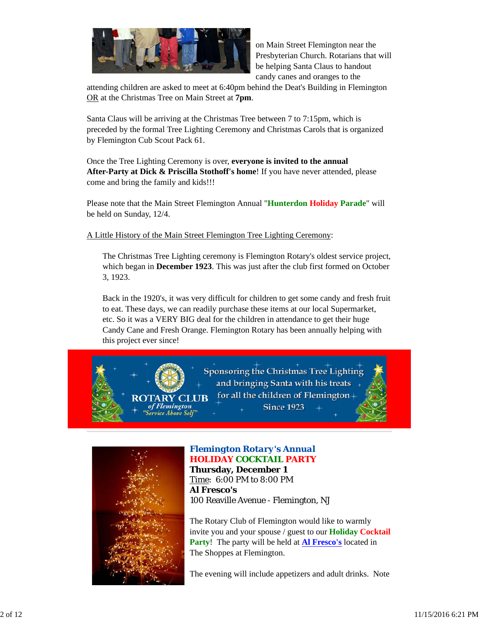

on Main Street Flemington near the Presbyterian Church. Rotarians that will be helping Santa Claus to handout candy canes and oranges to the

attending children are asked to meet at 6:40pm behind the Deat's Building in Flemington OR at the Christmas Tree on Main Street at **7pm**.

Santa Claus will be arriving at the Christmas Tree between 7 to 7:15pm, which is preceded by the formal Tree Lighting Ceremony and Christmas Carols that is organized by Flemington Cub Scout Pack 61.

Once the Tree Lighting Ceremony is over, **everyone is invited to the annual After-Party at Dick & Priscilla Stothoff's home**! If you have never attended, please come and bring the family and kids!!!

Please note that the Main Street Flemington Annual "**Hunterdon Holiday Parade**" will be held on Sunday, 12/4.

A Little History of the Main Street Flemington Tree Lighting Ceremony:

The Christmas Tree Lighting ceremony is Flemington Rotary's oldest service project, which began in **December 1923**. This was just after the club first formed on October 3, 1923.

Back in the 1920's, it was very difficult for children to get some candy and fresh fruit to eat. These days, we can readily purchase these items at our local Supermarket, etc. So it was a VERY BIG deal for the children in attendance to get their huge Candy Cane and Fresh Orange. Flemington Rotary has been annually helping with this project ever since!



Sponsoring the Christmas Tree Lighting and bringing Santa with his treats for all the children of Flemington-**Since 1923** 



*Flemington Rotary's Annual* **HOLIDAY COCKTAIL PARTY Thursday, December 1** Time: 6:00 PM to 8:00 PM **Al Fresco's** 100 Reaville Avenue - Flemington, NJ

The Rotary Club of Flemington would like to warmly invite you and your spouse / guest to our **Holiday Cocktail Party**! The party will be held at **Al Fresco's** located in The Shoppes at Flemington.

The evening will include appetizers and adult drinks. Note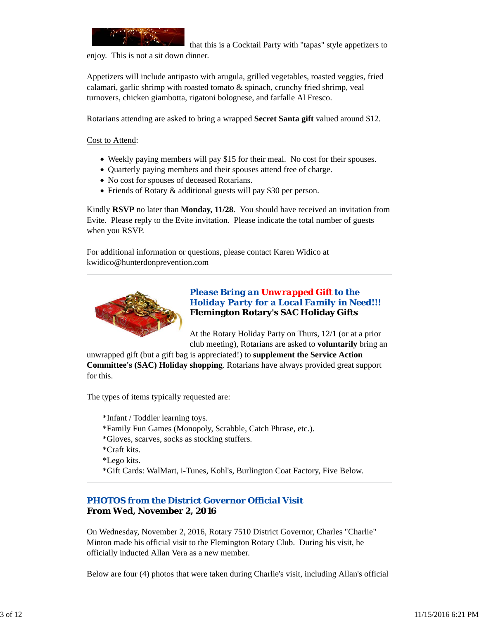

that this is a Cocktail Party with "tapas" style appetizers to

enjoy. This is not a sit down dinner.

Appetizers will include antipasto with arugula, grilled vegetables, roasted veggies, fried calamari, garlic shrimp with roasted tomato  $&$  spinach, crunchy fried shrimp, veal turnovers, chicken giambotta, rigatoni bolognese, and farfalle Al Fresco.

Rotarians attending are asked to bring a wrapped **Secret Santa gift** valued around \$12.

Cost to Attend:

- Weekly paying members will pay \$15 for their meal. No cost for their spouses.
- Quarterly paying members and their spouses attend free of charge.
- No cost for spouses of deceased Rotarians.
- Friends of Rotary & additional guests will pay \$30 per person.

Kindly **RSVP** no later than **Monday, 11/28**. You should have received an invitation from Evite. Please reply to the Evite invitation. Please indicate the total number of guests when you RSVP.

For additional information or questions, please contact Karen Widico at kwidico@hunterdonprevention.com



# *Please Bring an Unwrapped Gift to the Holiday Party for a Local Family in Need!!!* **Flemington Rotary's SAC Holiday Gifts**

At the Rotary Holiday Party on Thurs, 12/1 (or at a prior club meeting), Rotarians are asked to **voluntarily** bring an

unwrapped gift (but a gift bag is appreciated!) to **supplement the Service Action Committee's (SAC) Holiday shopping**. Rotarians have always provided great support for this.

The types of items typically requested are:

\*Infant / Toddler learning toys. \*Family Fun Games (Monopoly, Scrabble, Catch Phrase, etc.). \*Gloves, scarves, socks as stocking stuffers. \*Craft kits. \*Lego kits. \*Gift Cards: WalMart, i-Tunes, Kohl's, Burlington Coat Factory, Five Below.

### *PHOTOS from the District Governor Official Visit* **From Wed, November 2, 2016**

officially inducted Allan Vera as a new member.

On Wednesday, November 2, 2016, Rotary 7510 District Governor, Charles "Charlie" Minton made his official visit to the Flemington Rotary Club. During his visit, he

Below are four (4) photos that were taken during Charlie's visit, including Allan's official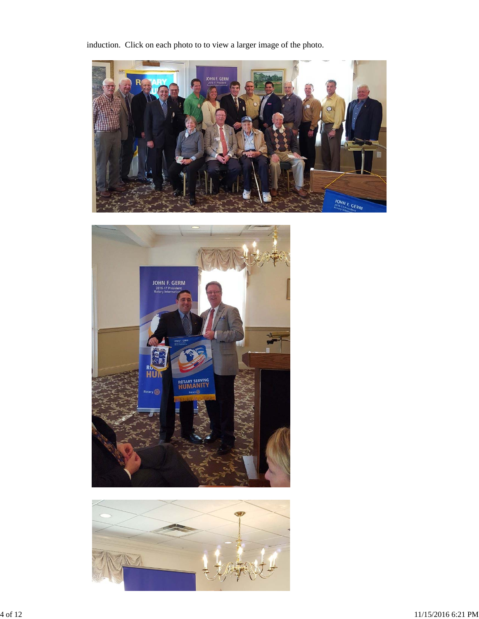induction. Click on each photo to to view a larger image of the photo.





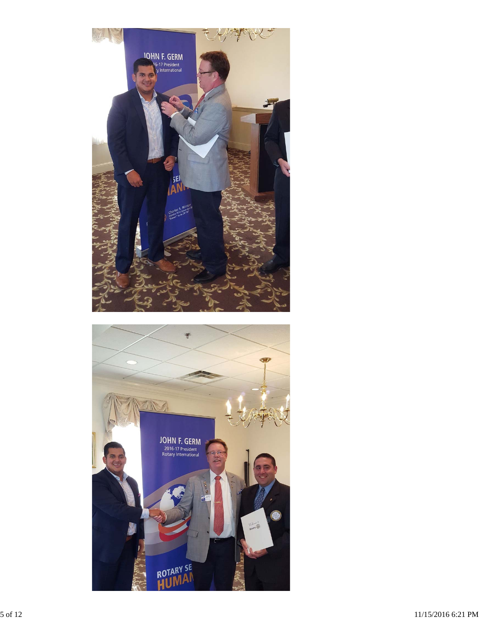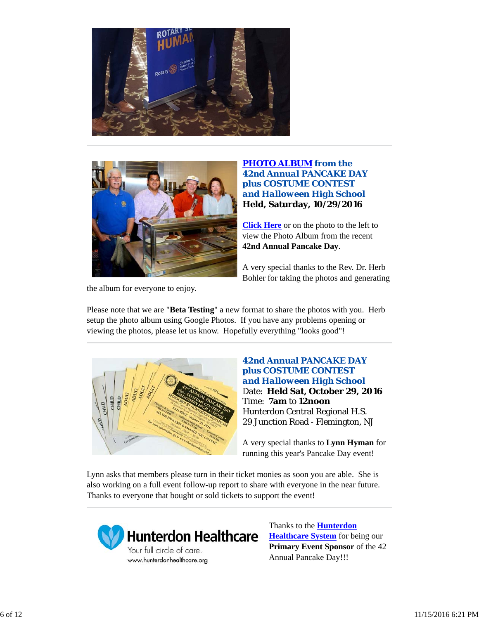



*PHOTO ALBUM from the 42nd Annual PANCAKE DAY plus COSTUME CONTEST and Halloween High School* **Held, Saturday, 10/29/2016**

**Click Here** or on the photo to the left to view the Photo Album from the recent **42nd Annual Pancake Day**.

A very special thanks to the Rev. Dr. Herb Bohler for taking the photos and generating

the album for everyone to enjoy.

Please note that we are "**Beta Testing**" a new format to share the photos with you. Herb setup the photo album using Google Photos. If you have any problems opening or viewing the photos, please let us know. Hopefully everything "looks good"!



# **42nd Annual PANCAKE DAY plus COSTUME CONTEST**  *and Halloween High School* Date: **Held Sat, October 29, 2016** Time: **7am** to **12noon** Hunterdon Central Regional H.S. 29 Junction Road - Flemington, NJ

A very special thanks to **Lynn Hyman** for running this year's Pancake Day event!

Lynn asks that members please turn in their ticket monies as soon you are able. She is also working on a full event follow-up report to share with everyone in the near future. Thanks to everyone that bought or sold tickets to support the event!



Thanks to the **Hunterdon Healthcare System** for being our **Primary Event Sponsor** of the 42 Annual Pancake Day!!!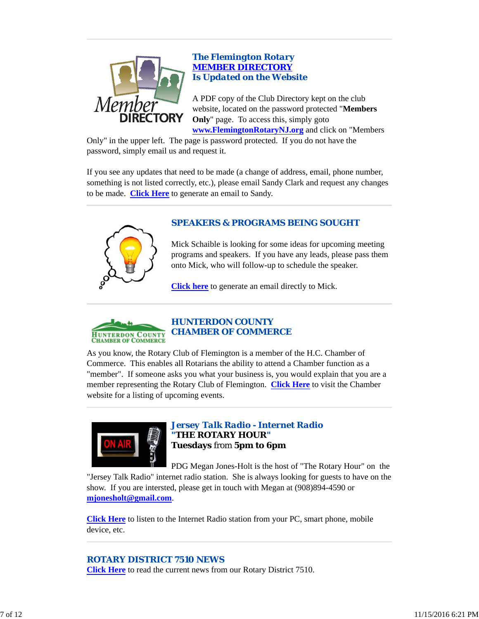

# *The Flemington Rotary MEMBER DIRECTORY Is Updated on the Website*

A PDF copy of the Club Directory kept on the club website, located on the password protected "**Members Only**" page. To access this, simply goto **www.FlemingtonRotaryNJ.org** and click on "Members

Only" in the upper left. The page is password protected. If you do not have the password, simply email us and request it.

If you see any updates that need to be made (a change of address, email, phone number, something is not listed correctly, etc.), please email Sandy Clark and request any changes to be made. **Click Here** to generate an email to Sandy.

# *SPEAKERS & PROGRAMS BEING SOUGHT*



Mick Schaible is looking for some ideas for upcoming meeting programs and speakers. If you have any leads, please pass them onto Mick, who will follow-up to schedule the speaker.

**Click here** to generate an email directly to Mick.



As you know, the Rotary Club of Flemington is a member of the H.C. Chamber of Commerce. This enables all Rotarians the ability to attend a Chamber function as a "member". If someone asks you what your business is, you would explain that you are a member representing the Rotary Club of Flemington. **Click Here** to visit the Chamber website for a listing of upcoming events.



*Jersey Talk Radio - Internet Radio "THE ROTARY HOUR"* **Tuesdays** from **5pm to 6pm**

PDG Megan Jones-Holt is the host of "The Rotary Hour" on the "Jersey Talk Radio" internet radio station. She is always looking for guests to have on the show. If you are intersted, please get in touch with Megan at (908)894-4590 or **mjonesholt@gmail.com**.

**Click Here** to listen to the Internet Radio station from your PC, smart phone, mobile device, etc.

# *ROTARY DISTRICT 7510 NEWS*

**Click Here** to read the current news from our Rotary District 7510.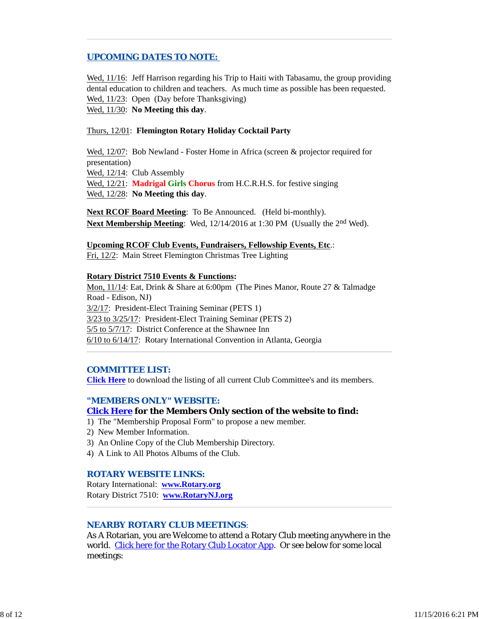# *UPCOMING DATES TO NOTE:*

Wed,  $11/16$ : Jeff Harrison regarding his Trip to Haiti with Tabasamu, the group providing dental education to children and teachers. As much time as possible has been requested. Wed,  $11/23$ : Open (Day before Thanksgiving) Wed, 11/30: **No Meeting this day**.

#### Thurs, 12/01: **Flemington Rotary Holiday Cocktail Party**

Wed, 12/07: Bob Newland - Foster Home in Africa (screen & projector required for presentation) Wed, 12/14: Club Assembly Wed, 12/21: **Madrigal Girls Chorus** from H.C.R.H.S. for festive singing Wed, 12/28: **No Meeting this day**.

**Next RCOF Board Meeting**: To Be Announced. (Held bi-monthly). **Next Membership Meeting**: Wed, 12/14/2016 at 1:30 PM (Usually the 2<sup>nd</sup> Wed).

**Upcoming RCOF Club Events, Fundraisers, Fellowship Events, Etc**.: Fri, 12/2: Main Street Flemington Christmas Tree Lighting

#### **Rotary District 7510 Events & Functions:**

Mon, 11/14: Eat, Drink & Share at 6:00pm (The Pines Manor, Route 27 & Talmadge Road - Edison, NJ) 3/2/17: President-Elect Training Seminar (PETS 1) 3/23 to 3/25/17: President-Elect Training Seminar (PETS 2) 5/5 to 5/7/17: District Conference at the Shawnee Inn 6/10 to 6/14/17: Rotary International Convention in Atlanta, Georgia

### *COMMITTEE LIST:*

**Click Here** to download the listing of all current Club Committee's and its members.

#### *"MEMBERS ONLY" WEBSITE:*

#### **Click Here for the Members Only section of the website to find:**

- 1) The "Membership Proposal Form" to propose a new member.
- 2) New Member Information.
- 3) An Online Copy of the Club Membership Directory.
- 4) A Link to All Photos Albums of the Club.

#### *ROTARY WEBSITE LINKS:*

Rotary International: **www.Rotary.org** Rotary District 7510: **www.RotaryNJ.org**

#### *NEARBY ROTARY CLUB MEETINGS:*

As A Rotarian, you are Welcome to attend a Rotary Club meeting anywhere in the world. Click here for the Rotary Club Locator App. Or see below for some local meetings: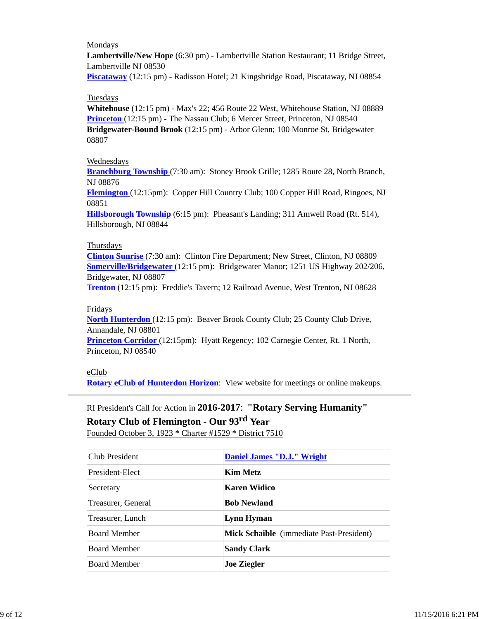### Mondays

**Lambertville/New Hope** (6:30 pm) - Lambertville Station Restaurant; 11 Bridge Street, Lambertville NJ 08530

**Piscataway** (12:15 pm) - Radisson Hotel; 21 Kingsbridge Road, Piscataway, NJ 08854

### Tuesdays

**Whitehouse** (12:15 pm) - Max's 22; 456 Route 22 West, Whitehouse Station, NJ 08889 **Princeton** (12:15 pm) - The Nassau Club; 6 Mercer Street, Princeton, NJ 08540 **Bridgewater-Bound Brook** (12:15 pm) - Arbor Glenn; 100 Monroe St, Bridgewater 08807

### **Wednesdays**

**Branchburg Township** (7:30 am): Stoney Brook Grille; 1285 Route 28, North Branch, NJ 08876

**Flemington** (12:15pm): Copper Hill Country Club; 100 Copper Hill Road, Ringoes, NJ 08851

**Hillsborough Township** (6:15 pm): Pheasant's Landing; 311 Amwell Road (Rt. 514), Hillsborough, NJ 08844

### Thursdays

**Clinton Sunrise** (7:30 am): Clinton Fire Department; New Street, Clinton, NJ 08809 **Somerville/Bridgewater** (12:15 pm): Bridgewater Manor; 1251 US Highway 202/206, Bridgewater, NJ 08807

**Trenton** (12:15 pm): Freddie's Tavern; 12 Railroad Avenue, West Trenton, NJ 08628

### Fridays

**North Hunterdon** (12:15 pm): Beaver Brook County Club; 25 County Club Drive, Annandale, NJ 08801

**Princeton Corridor** (12:15pm): Hyatt Regency; 102 Carnegie Center, Rt. 1 North, Princeton, NJ 08540

eClub

**Rotary eClub of Hunterdon Horizon**: View website for meetings or online makeups.

RI President's Call for Action in **2016-2017**: **"Rotary Serving Humanity" Rotary Club of Flemington - Our 93rd Year**

Founded October 3, 1923 \* Charter #1529 \* District 7510

| Club President      | <b>Daniel James "D.J." Wright</b>               |
|---------------------|-------------------------------------------------|
| President-Elect     | <b>Kim Metz</b>                                 |
| Secretary           | <b>Karen Widico</b>                             |
| Treasurer, General  | <b>Bob Newland</b>                              |
| Treasurer, Lunch    | Lynn Hyman                                      |
| <b>Board Member</b> | <b>Mick Schaible</b> (immediate Past-President) |
| <b>Board Member</b> | <b>Sandy Clark</b>                              |
| <b>Board Member</b> | <b>Joe Ziegler</b>                              |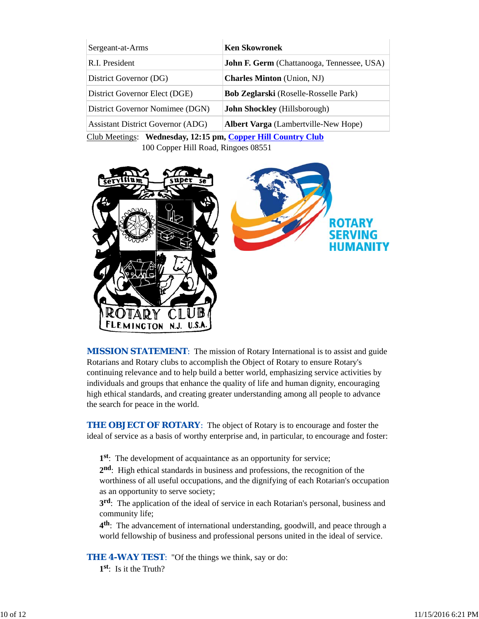| Sergeant-at-Arms                              | <b>Ken Skowronek</b>                              |  |  |
|-----------------------------------------------|---------------------------------------------------|--|--|
| R.I. President                                | <b>John F. Germ</b> (Chattanooga, Tennessee, USA) |  |  |
| District Governor (DG)                        | <b>Charles Minton</b> (Union, NJ)                 |  |  |
| District Governor Elect (DGE)                 | <b>Bob Zeglarski</b> (Roselle-Rosselle Park)      |  |  |
| District Governor Nomimee (DGN)               | <b>John Shockley</b> (Hillsborough)               |  |  |
| <b>Assistant District Governor (ADG)</b>      | <b>Albert Varga</b> (Lambertville-New Hope)       |  |  |
| $\alpha$ ii i 1445 $\alpha$ ithi $\alpha$ and |                                                   |  |  |

Club Meetings: **Wednesday, 12:15 pm, Copper Hill Country Club** 100 Copper Hill Road, Ringoes 08551



**MISSION STATEMENT:** The mission of Rotary International is to assist and guide Rotarians and Rotary clubs to accomplish the Object of Rotary to ensure Rotary's continuing relevance and to help build a better world, emphasizing service activities by individuals and groups that enhance the quality of life and human dignity, encouraging high ethical standards, and creating greater understanding among all people to advance the search for peace in the world.

**THE OBJECT OF ROTARY:** The object of Rotary is to encourage and foster the ideal of service as a basis of worthy enterprise and, in particular, to encourage and foster:

**1st**: The development of acquaintance as an opportunity for service;

**2nd**: High ethical standards in business and professions, the recognition of the worthiness of all useful occupations, and the dignifying of each Rotarian's occupation as an opportunity to serve society;

**3rd**: The application of the ideal of service in each Rotarian's personal, business and community life;

**4th**: The advancement of international understanding, goodwill, and peace through a world fellowship of business and professional persons united in the ideal of service.

**THE 4-WAY TEST:** "Of the things we think, say or do:

**1st**: Is it the Truth?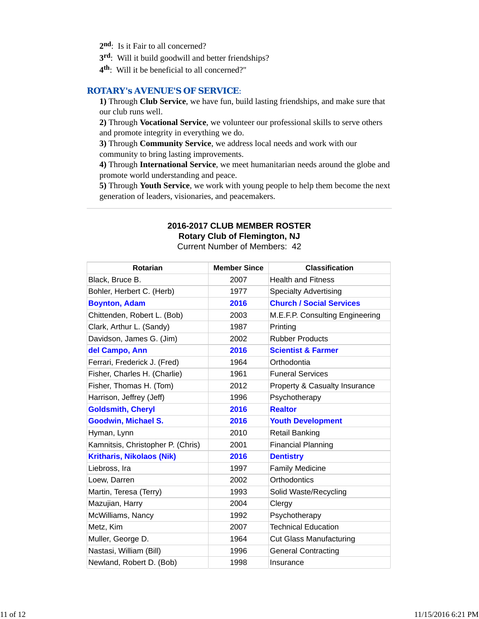- 2<sup>nd</sup>: Is it Fair to all concerned?
- **3rd**: Will it build goodwill and better friendships?
- **4th**: Will it be beneficial to all concerned?"

### *ROTARY's AVENUE'S OF SERVICE*:

**1)** Through **Club Service**, we have fun, build lasting friendships, and make sure that our club runs well.

**2)** Through **Vocational Service**, we volunteer our professional skills to serve others and promote integrity in everything we do.

**3)** Through **Community Service**, we address local needs and work with our community to bring lasting improvements.

**4)** Through **International Service**, we meet humanitarian needs around the globe and promote world understanding and peace.

**5)** Through **Youth Service**, we work with young people to help them become the next generation of leaders, visionaries, and peacemakers.

### **2016-2017 CLUB MEMBER ROSTER Rotary Club of Flemington, NJ**

Current Number of Members: 42

| <b>Rotarian</b>                   | <b>Member Since</b> | <b>Classification</b>                    |
|-----------------------------------|---------------------|------------------------------------------|
| Black, Bruce B.                   | 2007                | <b>Health and Fitness</b>                |
| Bohler, Herbert C. (Herb)         | 1977                | <b>Specialty Advertising</b>             |
| <b>Boynton, Adam</b>              | 2016                | <b>Church / Social Services</b>          |
| Chittenden, Robert L. (Bob)       | 2003                | M.E.F.P. Consulting Engineering          |
| Clark, Arthur L. (Sandy)          | 1987                | Printing                                 |
| Davidson, James G. (Jim)          | 2002                | <b>Rubber Products</b>                   |
| del Campo, Ann                    | 2016                | <b>Scientist &amp; Farmer</b>            |
| Ferrari, Frederick J. (Fred)      | 1964                | Orthodontia                              |
| Fisher, Charles H. (Charlie)      | 1961                | <b>Funeral Services</b>                  |
| Fisher, Thomas H. (Tom)           | 2012                | <b>Property &amp; Casualty Insurance</b> |
| Harrison, Jeffrey (Jeff)          | 1996                | Psychotherapy                            |
| <b>Goldsmith, Cheryl</b>          | 2016                | <b>Realtor</b>                           |
| <b>Goodwin, Michael S.</b>        | 2016                | <b>Youth Development</b>                 |
| Hyman, Lynn                       | 2010                | Retail Banking                           |
| Kamnitsis, Christopher P. (Chris) | 2001                | <b>Financial Planning</b>                |
| <b>Kritharis, Nikolaos (Nik)</b>  | 2016                | <b>Dentistry</b>                         |
| Liebross, Ira                     | 1997                | <b>Family Medicine</b>                   |
| Loew, Darren                      | 2002                | <b>Orthodontics</b>                      |
| Martin, Teresa (Terry)            | 1993                | Solid Waste/Recycling                    |
| Mazujian, Harry                   | 2004                | Clergy                                   |
| McWilliams, Nancy                 | 1992                | Psychotherapy                            |
| Metz, Kim                         | 2007                | <b>Technical Education</b>               |
| Muller, George D.                 | 1964                | <b>Cut Glass Manufacturing</b>           |
| Nastasi, William (Bill)           | 1996                | <b>General Contracting</b>               |
| Newland, Robert D. (Bob)          | 1998                | Insurance                                |